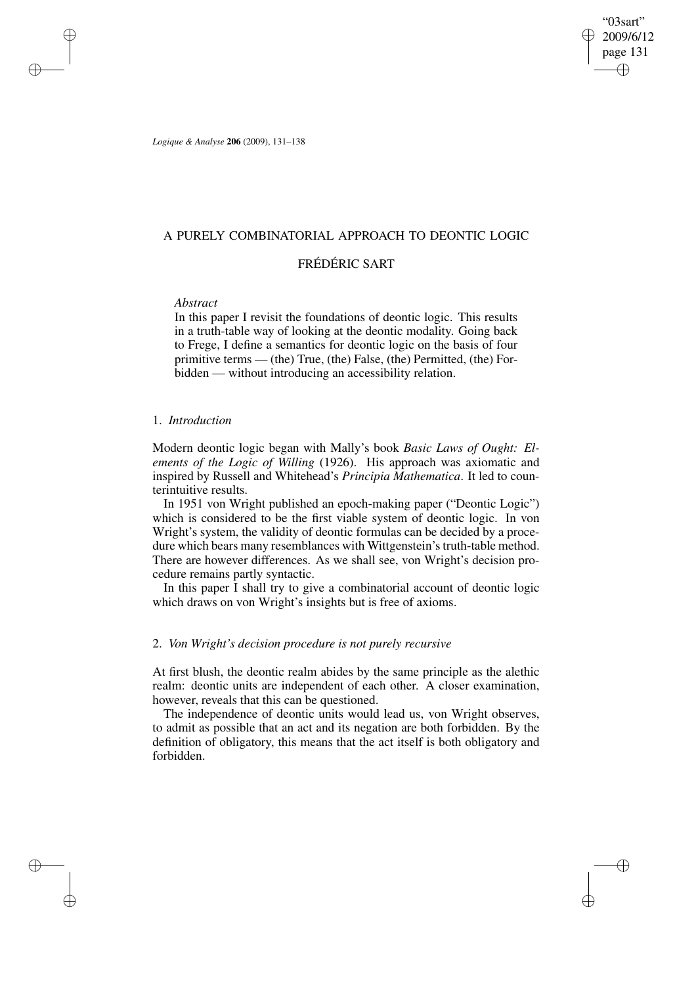"03sart" 2009/6/12 page 131 ✐ ✐

✐

✐

*Logique & Analyse* **206** (2009), 131–138

# A PURELY COMBINATORIAL APPROACH TO DEONTIC LOGIC

# FRÉDÉRIC SART

# *Abstract*

✐

✐

✐

✐

In this paper I revisit the foundations of deontic logic. This results in a truth-table way of looking at the deontic modality. Going back to Frege, I define a semantics for deontic logic on the basis of four primitive terms — (the) True, (the) False, (the) Permitted, (the) Forbidden — without introducing an accessibility relation.

# 1. *Introduction*

Modern deontic logic began with Mally's book *Basic Laws of Ought: Elements of the Logic of Willing* (1926). His approach was axiomatic and inspired by Russell and Whitehead's *Principia Mathematica*. It led to counterintuitive results.

In 1951 von Wright published an epoch-making paper ("Deontic Logic") which is considered to be the first viable system of deontic logic. In von Wright's system, the validity of deontic formulas can be decided by a procedure which bears many resemblances with Wittgenstein's truth-table method. There are however differences. As we shall see, von Wright's decision procedure remains partly syntactic.

In this paper I shall try to give a combinatorial account of deontic logic which draws on von Wright's insights but is free of axioms.

# 2. *Von Wright's decision procedure is not purely recursive*

At first blush, the deontic realm abides by the same principle as the alethic realm: deontic units are independent of each other. A closer examination, however, reveals that this can be questioned.

The independence of deontic units would lead us, von Wright observes, to admit as possible that an act and its negation are both forbidden. By the definition of obligatory, this means that the act itself is both obligatory and forbidden.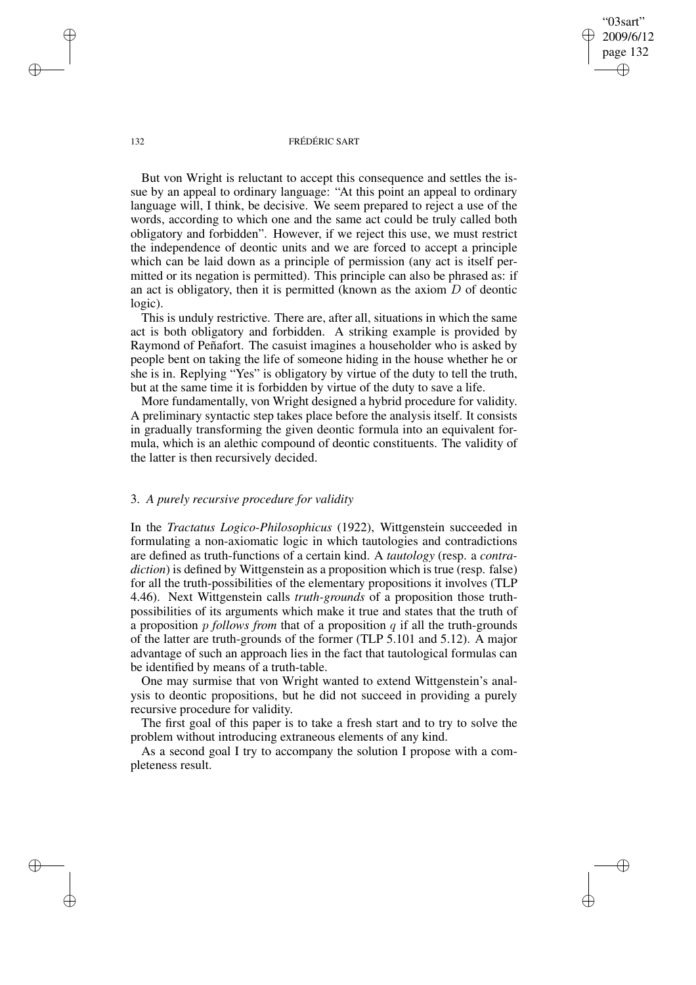"03sart" 2009/6/12 page 132 ✐ ✐

✐

✐

### 132 FRÉDÉRIC SART

But von Wright is reluctant to accept this consequence and settles the issue by an appeal to ordinary language: "At this point an appeal to ordinary language will, I think, be decisive. We seem prepared to reject a use of the words, according to which one and the same act could be truly called both obligatory and forbidden". However, if we reject this use, we must restrict the independence of deontic units and we are forced to accept a principle which can be laid down as a principle of permission (any act is itself permitted or its negation is permitted). This principle can also be phrased as: if an act is obligatory, then it is permitted (known as the axiom  $D$  of deontic logic).

This is unduly restrictive. There are, after all, situations in which the same act is both obligatory and forbidden. A striking example is provided by Raymond of Peñafort. The casuist imagines a householder who is asked by people bent on taking the life of someone hiding in the house whether he or she is in. Replying "Yes" is obligatory by virtue of the duty to tell the truth, but at the same time it is forbidden by virtue of the duty to save a life.

More fundamentally, von Wright designed a hybrid procedure for validity. A preliminary syntactic step takes place before the analysis itself. It consists in gradually transforming the given deontic formula into an equivalent formula, which is an alethic compound of deontic constituents. The validity of the latter is then recursively decided.

# 3. *A purely recursive procedure for validity*

In the *Tractatus Logico-Philosophicus* (1922), Wittgenstein succeeded in formulating a non-axiomatic logic in which tautologies and contradictions are defined as truth-functions of a certain kind. A *tautology* (resp. a *contradiction*) is defined by Wittgenstein as a proposition which is true (resp. false) for all the truth-possibilities of the elementary propositions it involves (TLP 4.46). Next Wittgenstein calls *truth-grounds* of a proposition those truthpossibilities of its arguments which make it true and states that the truth of a proposition p *follows from* that of a proposition q if all the truth-grounds of the latter are truth-grounds of the former (TLP 5.101 and 5.12). A major advantage of such an approach lies in the fact that tautological formulas can be identified by means of a truth-table.

One may surmise that von Wright wanted to extend Wittgenstein's analysis to deontic propositions, but he did not succeed in providing a purely recursive procedure for validity.

The first goal of this paper is to take a fresh start and to try to solve the problem without introducing extraneous elements of any kind.

As a second goal I try to accompany the solution I propose with a completeness result.

✐

✐

✐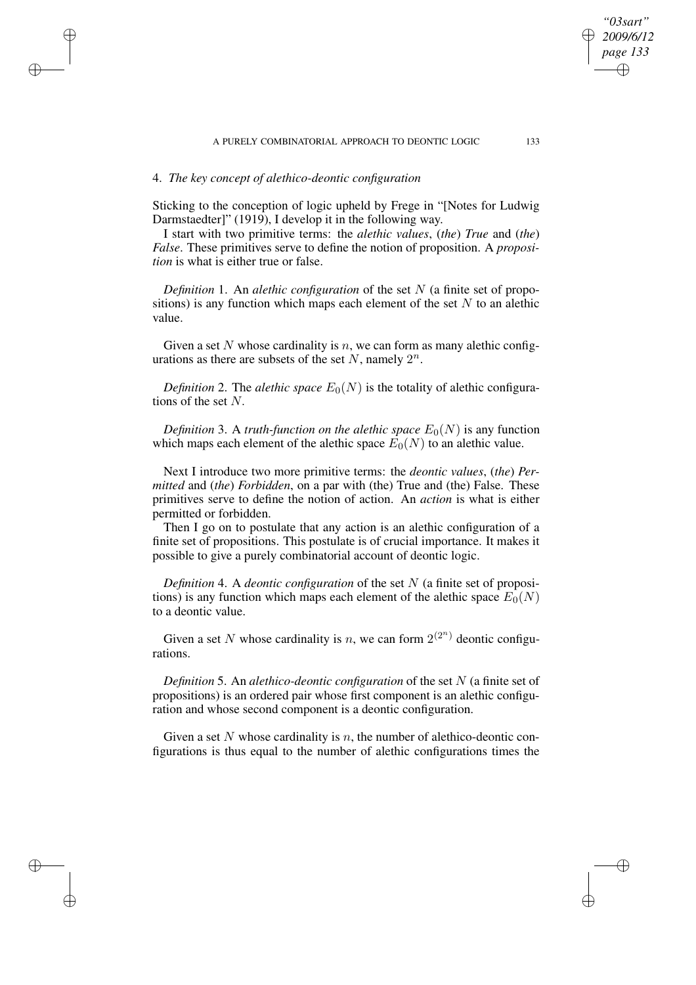# 4. *The key concept of alethico-deontic configuration*

✐

✐

✐

✐

Sticking to the conception of logic upheld by Frege in "[Notes for Ludwig Darmstaedter]" (1919), I develop it in the following way.

I start with two primitive terms: the *alethic values*, (*the*) *True* and (*the*) *False*. These primitives serve to define the notion of proposition. A *proposition* is what is either true or false.

*Definition* 1. An *alethic configuration* of the set N (a finite set of propositions) is any function which maps each element of the set  $N$  to an alethic value.

Given a set N whose cardinality is  $n$ , we can form as many alethic configurations as there are subsets of the set N, namely  $2^n$ .

*Definition* 2. The *alethic space*  $E_0(N)$  is the totality of alethic configurations of the set N.

*Definition* 3. A *truth-function on the alethic space*  $E_0(N)$  is any function which maps each element of the alethic space  $E_0(N)$  to an alethic value.

Next I introduce two more primitive terms: the *deontic values*, (*the*) *Permitted* and (*the*) *Forbidden*, on a par with (the) True and (the) False. These primitives serve to define the notion of action. An *action* is what is either permitted or forbidden.

Then I go on to postulate that any action is an alethic configuration of a finite set of propositions. This postulate is of crucial importance. It makes it possible to give a purely combinatorial account of deontic logic.

*Definition* 4. A *deontic configuration* of the set N (a finite set of propositions) is any function which maps each element of the alethic space  $E_0(N)$ to a deontic value.

Given a set N whose cardinality is n, we can form  $2^{(2^n)}$  deontic configurations.

*Definition* 5. An *alethico-deontic configuration* of the set N (a finite set of propositions) is an ordered pair whose first component is an alethic configuration and whose second component is a deontic configuration.

Given a set N whose cardinality is n, the number of alethico-deontic configurations is thus equal to the number of alethic configurations times the

*"03sart" 2009/6/12 page 133*

✐

✐

✐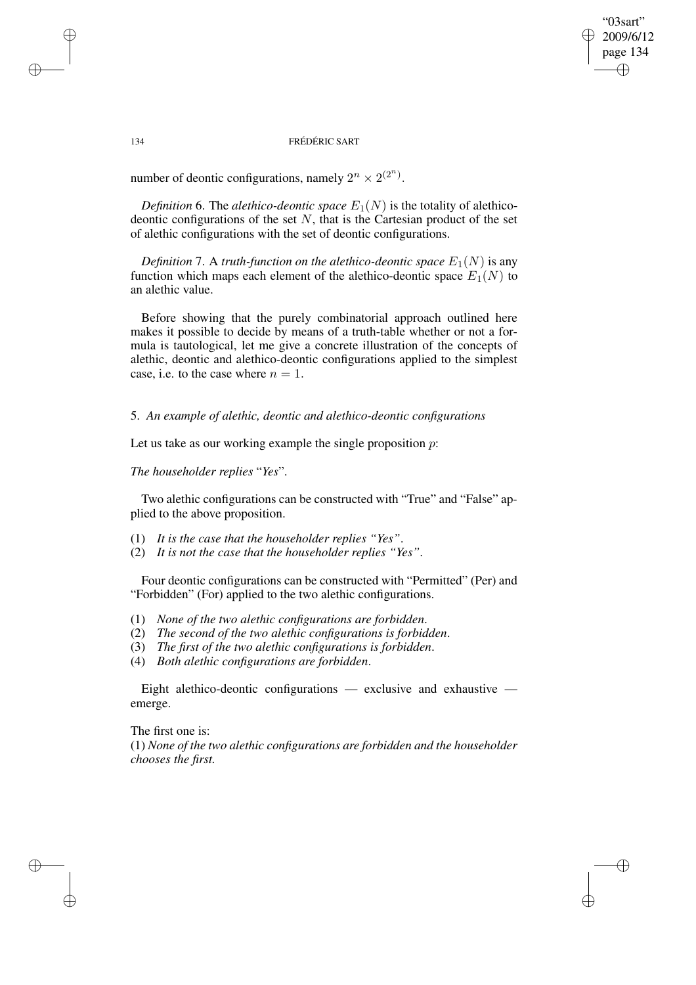"03sart" 2009/6/12 page 134 ✐ ✐

✐

✐

### 134 FRÉDÉRIC SART

number of deontic configurations, namely  $2^n \times 2^{(2^n)}$ .

✐

✐

✐

✐

*Definition* 6. The *alethico-deontic space*  $E_1(N)$  is the totality of alethicodeontic configurations of the set  $N$ , that is the Cartesian product of the set of alethic configurations with the set of deontic configurations.

*Definition* 7. A *truth-function on the alethico-deontic space*  $E_1(N)$  is any function which maps each element of the alethico-deontic space  $E_1(N)$  to an alethic value.

Before showing that the purely combinatorial approach outlined here makes it possible to decide by means of a truth-table whether or not a formula is tautological, let me give a concrete illustration of the concepts of alethic, deontic and alethico-deontic configurations applied to the simplest case, i.e. to the case where  $n = 1$ .

5. *An example of alethic, deontic and alethico-deontic configurations*

Let us take as our working example the single proposition  $p$ :

*The householder replies* "*Yes*".

Two alethic configurations can be constructed with "True" and "False" applied to the above proposition.

- (1) *It is the case that the householder replies "Yes"*.
- (2) *It is not the case that the householder replies "Yes"*.

Four deontic configurations can be constructed with "Permitted" (Per) and "Forbidden" (For) applied to the two alethic configurations.

- (1) *None of the two alethic configurations are forbidden*.
- (2) *The second of the two alethic configurations is forbidden*.
- (3) *The first of the two alethic configurations is forbidden*.
- (4) *Both alethic configurations are forbidden*.

Eight alethico-deontic configurations — exclusive and exhaustive emerge.

The first one is: (1) *None of the two alethic configurations are forbidden and the householder chooses the first.*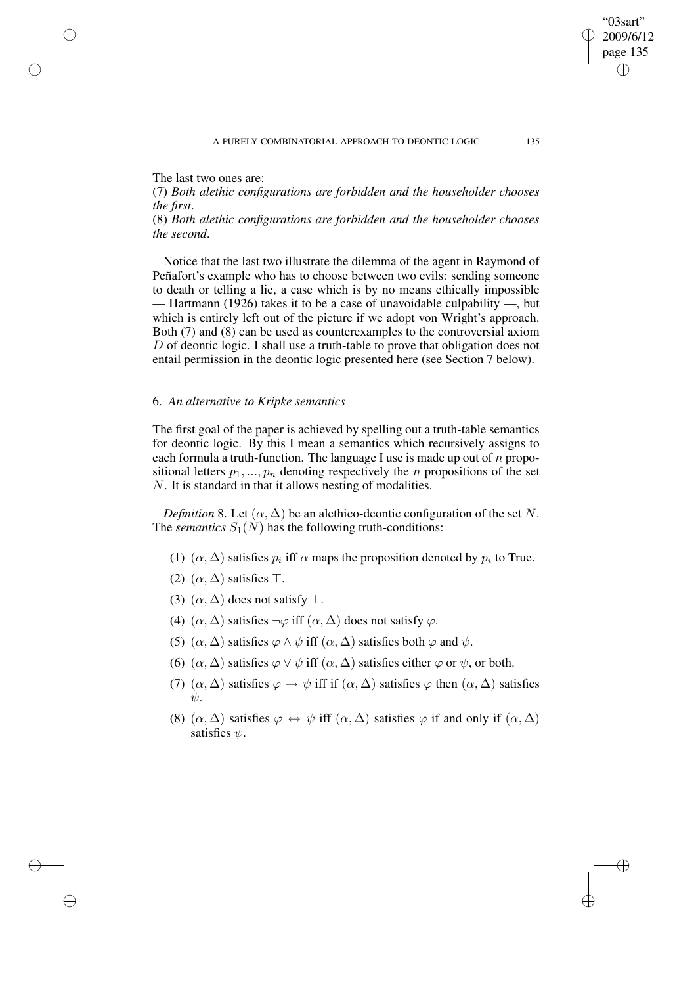The last two ones are:

✐

✐

✐

✐

(7) *Both alethic configurations are forbidden and the householder chooses the first*.

(8) *Both alethic configurations are forbidden and the householder chooses the second*.

Notice that the last two illustrate the dilemma of the agent in Raymond of Peñafort's example who has to choose between two evils: sending someone to death or telling a lie, a case which is by no means ethically impossible — Hartmann (1926) takes it to be a case of unavoidable culpability —, but which is entirely left out of the picture if we adopt von Wright's approach. Both (7) and (8) can be used as counterexamples to the controversial axiom D of deontic logic. I shall use a truth-table to prove that obligation does not entail permission in the deontic logic presented here (see Section 7 below).

# 6. *An alternative to Kripke semantics*

The first goal of the paper is achieved by spelling out a truth-table semantics for deontic logic. By this I mean a semantics which recursively assigns to each formula a truth-function. The language I use is made up out of  $n$  propositional letters  $p_1, ..., p_n$  denoting respectively the n propositions of the set N. It is standard in that it allows nesting of modalities.

*Definition* 8. Let  $(\alpha, \Delta)$  be an alethico-deontic configuration of the set N. The *semantics*  $S_1(N)$  has the following truth-conditions:

- (1)  $(\alpha, \Delta)$  satisfies  $p_i$  iff  $\alpha$  maps the proposition denoted by  $p_i$  to True.
- (2)  $(\alpha, \Delta)$  satisfies  $\top$ .
- (3)  $(\alpha, \Delta)$  does not satisfy  $\perp$ .
- (4)  $(\alpha, \Delta)$  satisfies  $\neg \varphi$  iff  $(\alpha, \Delta)$  does not satisfy  $\varphi$ .
- (5)  $(\alpha, \Delta)$  satisfies  $\varphi \wedge \psi$  iff  $(\alpha, \Delta)$  satisfies both  $\varphi$  and  $\psi$ .
- (6)  $(\alpha, \Delta)$  satisfies  $\varphi \vee \psi$  iff  $(\alpha, \Delta)$  satisfies either  $\varphi$  or  $\psi$ , or both.
- (7)  $(\alpha, \Delta)$  satisfies  $\varphi \to \psi$  iff if  $(\alpha, \Delta)$  satisfies  $\varphi$  then  $(\alpha, \Delta)$  satisfies  $\psi$ .
- (8)  $(\alpha, \Delta)$  satisfies  $\varphi \leftrightarrow \psi$  iff  $(\alpha, \Delta)$  satisfies  $\varphi$  if and only if  $(\alpha, \Delta)$ satisfies  $\psi$ .

"03sart" 2009/6/12 page 135

✐

✐

✐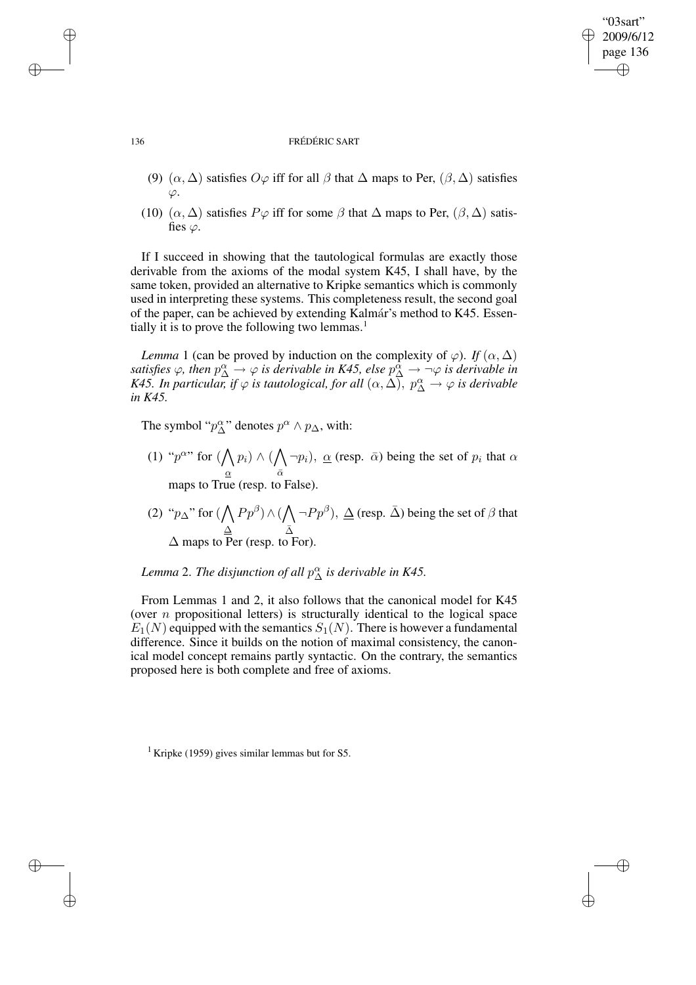# 2009/6/12 page 136 ✐

 $\oplus$ 

✐

"03sart"

✐

### 136 FRÉDÉRIC SART

- (9)  $(\alpha, \Delta)$  satisfies  $O\varphi$  iff for all  $\beta$  that  $\Delta$  maps to Per,  $(\beta, \Delta)$  satisfies  $\varphi$ .
- (10)  $(\alpha, \Delta)$  satisfies  $P\varphi$  iff for some  $\beta$  that  $\Delta$  maps to Per,  $(\beta, \Delta)$  satisfies  $\varphi$ .

If I succeed in showing that the tautological formulas are exactly those derivable from the axioms of the modal system K45, I shall have, by the same token, provided an alternative to Kripke semantics which is commonly used in interpreting these systems. This completeness result, the second goal of the paper, can be achieved by extending Kalma´r's method to K45. Essentially it is to prove the following two lemmas. $<sup>1</sup>$ </sup>

*Lemma* 1 (can be proved by induction on the complexity of  $\varphi$ ). *If*  $(\alpha, \Delta)$ satisfies  $\varphi$ , then  $p^{\alpha}_{\Delta} \to \varphi$  is derivable in K45, else  $p^{\alpha}_{\Delta} \to \neg \varphi$  is derivable in *K45. In particular, if*  $\varphi$  *is tautological, for all*  $(\alpha, \Delta)$ ,  $p^{\alpha}_{\Delta} \to \varphi$  *is derivable in K45.*

The symbol " $p^{\alpha}_{\Delta}$ " denotes  $p^{\alpha} \wedge p_{\Delta}$ , with:

- (1) " $p^{\alpha}$ " for  $(\bigwedge)$ α  $p_i) \wedge (\bigwedge$  $\bar{\alpha}$  $\neg p_i$ ),  $\underline{\alpha}$  (resp.  $\overline{\alpha}$ ) being the set of  $p_i$  that  $\alpha$ maps to True (resp. to False).
- (2) " $p_{\Delta}$ " for ( $\bigwedge$ ∆  $Pp^{\beta}) \wedge (\bigwedge$  $\bar{\Delta}$  $\neg P p^{\beta}$ ),  $\Delta$  (resp.  $\bar{\Delta}$ ) being the set of  $\beta$  that  $\Delta$  maps to Per (resp. to For).

# *Lemma* 2. *The disjunction of all*  $p^{\alpha}_{\Delta}$  *is derivable in K45.*

From Lemmas 1 and 2, it also follows that the canonical model for K45 (over  $n$  propositional letters) is structurally identical to the logical space  $E_1(N)$  equipped with the semantics  $S_1(N)$ . There is however a fundamental difference. Since it builds on the notion of maximal consistency, the canonical model concept remains partly syntactic. On the contrary, the semantics proposed here is both complete and free of axioms.

✐

✐

✐

<sup>&</sup>lt;sup>1</sup> Kripke (1959) gives similar lemmas but for S5.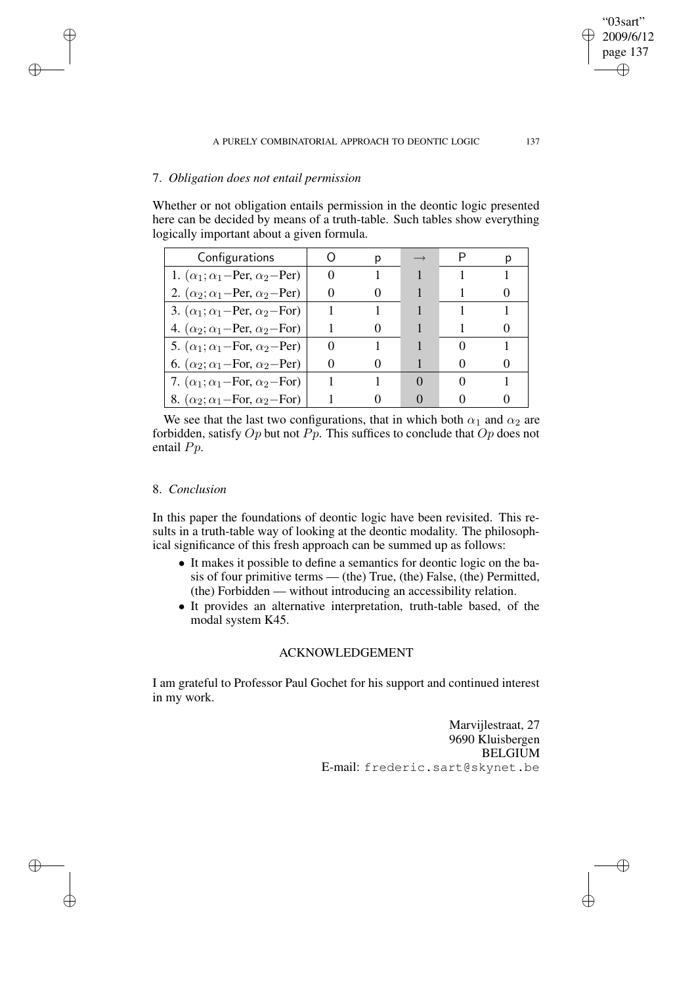# 7. *Obligation does not entail permission*

Whether or not obligation entails permission in the deontic logic presented here can be decided by means of a truth-table. Such tables show everything logically important about a given formula.

| Configurations                                  |  |  |  |
|-------------------------------------------------|--|--|--|
| 1. $(\alpha_1; \alpha_1$ -Per, $\alpha_2$ -Per) |  |  |  |
| 2. $(\alpha_2; \alpha_1$ -Per, $\alpha_2$ -Per) |  |  |  |
| 3. $(\alpha_1; \alpha_1$ -Per, $\alpha_2$ -For) |  |  |  |
| 4. $(\alpha_2; \alpha_1$ -Per, $\alpha_2$ -For) |  |  |  |
| 5. $(\alpha_1; \alpha_1$ -For, $\alpha_2$ -Per) |  |  |  |
| 6. $(\alpha_2; \alpha_1$ -For, $\alpha_2$ -Per) |  |  |  |
| 7. $(\alpha_1; \alpha_1$ -For, $\alpha_2$ -For) |  |  |  |
| 8. $(\alpha_2; \alpha_1$ -For, $\alpha_2$ -For) |  |  |  |

We see that the last two configurations, that in which both  $\alpha_1$  and  $\alpha_2$  are forbidden, satisfy  $Op$  but not  $Pp$ . This suffices to conclude that  $Op$  does not entail Pp.

# 8. *Conclusion*

✐

✐

✐

✐

In this paper the foundations of deontic logic have been revisited. This results in a truth-table way of looking at the deontic modality. The philosophical significance of this fresh approach can be summed up as follows:

- It makes it possible to define a semantics for deontic logic on the basis of four primitive terms — (the) True, (the) False, (the) Permitted, (the) Forbidden — without introducing an accessibility relation.
- It provides an alternative interpretation, truth-table based, of the modal system K45.

## ACKNOWLEDGEMENT

I am grateful to Professor Paul Gochet for his support and continued interest in my work.

> Marvijlestraat, 27 9690 Kluisbergen BELGIUM E-mail: frederic.sart@skynet.be

"03sart" 2009/6/12 page 137

✐

✐

✐